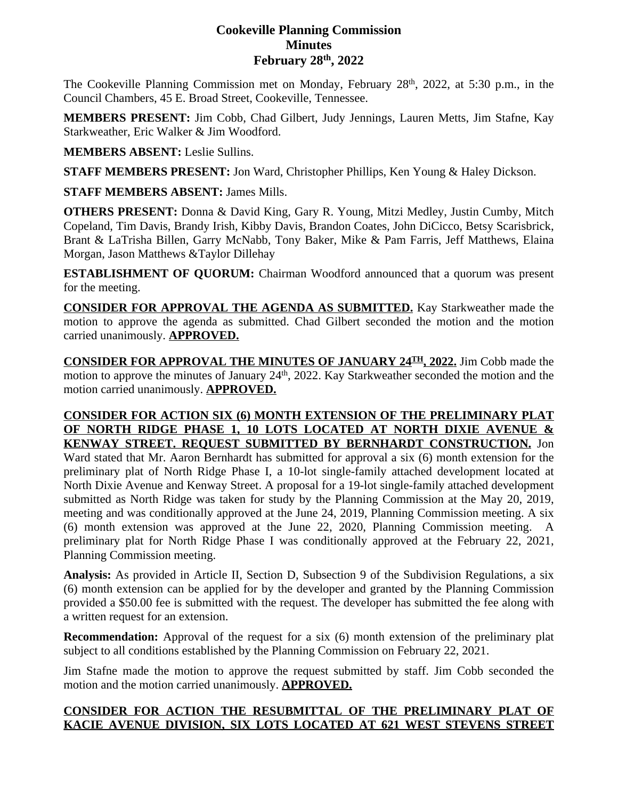# **Cookeville Planning Commission Minutes February 28th, 2022**

The Cookeville Planning Commission met on Monday, February 28<sup>th</sup>, 2022, at 5:30 p.m., in the Council Chambers, 45 E. Broad Street, Cookeville, Tennessee.

**MEMBERS PRESENT:** Jim Cobb, Chad Gilbert, Judy Jennings, Lauren Metts, Jim Stafne, Kay Starkweather, Eric Walker & Jim Woodford.

**MEMBERS ABSENT:** Leslie Sullins.

**STAFF MEMBERS PRESENT:** Jon Ward, Christopher Phillips, Ken Young & Haley Dickson.

**STAFF MEMBERS ABSENT:** James Mills.

**OTHERS PRESENT:** Donna & David King, Gary R. Young, Mitzi Medley, Justin Cumby, Mitch Copeland, Tim Davis, Brandy Irish, Kibby Davis, Brandon Coates, John DiCicco, Betsy Scarisbrick, Brant & LaTrisha Billen, Garry McNabb, Tony Baker, Mike & Pam Farris, Jeff Matthews, Elaina Morgan, Jason Matthews &Taylor Dillehay

**ESTABLISHMENT OF QUORUM:** Chairman Woodford announced that a quorum was present for the meeting.

**CONSIDER FOR APPROVAL THE AGENDA AS SUBMITTED.** Kay Starkweather made the motion to approve the agenda as submitted. Chad Gilbert seconded the motion and the motion carried unanimously. **APPROVED.**

**CONSIDER FOR APPROVAL THE MINUTES OF JANUARY 24TH , 2022.** Jim Cobb made the motion to approve the minutes of January 24<sup>th</sup>, 2022. Kay Starkweather seconded the motion and the motion carried unanimously. **APPROVED.**

#### **CONSIDER FOR ACTION SIX (6) MONTH EXTENSION OF THE PRELIMINARY PLAT OF NORTH RIDGE PHASE 1, 10 LOTS LOCATED AT NORTH DIXIE AVENUE & KENWAY STREET. REQUEST SUBMITTED BY BERNHARDT CONSTRUCTION.** Jon

Ward stated that Mr. Aaron Bernhardt has submitted for approval a six (6) month extension for the preliminary plat of North Ridge Phase I, a 10-lot single-family attached development located at North Dixie Avenue and Kenway Street. A proposal for a 19-lot single-family attached development submitted as North Ridge was taken for study by the Planning Commission at the May 20, 2019, meeting and was conditionally approved at the June 24, 2019, Planning Commission meeting. A six (6) month extension was approved at the June 22, 2020, Planning Commission meeting. A preliminary plat for North Ridge Phase I was conditionally approved at the February 22, 2021, Planning Commission meeting.

**Analysis:** As provided in Article II, Section D, Subsection 9 of the Subdivision Regulations, a six (6) month extension can be applied for by the developer and granted by the Planning Commission provided a \$50.00 fee is submitted with the request. The developer has submitted the fee along with a written request for an extension.

**Recommendation:** Approval of the request for a six (6) month extension of the preliminary plat subject to all conditions established by the Planning Commission on February 22, 2021.

Jim Stafne made the motion to approve the request submitted by staff. Jim Cobb seconded the motion and the motion carried unanimously. **APPROVED.**

# **CONSIDER FOR ACTION THE RESUBMITTAL OF THE PRELIMINARY PLAT OF KACIE AVENUE DIVISION, SIX LOTS LOCATED AT 621 WEST STEVENS STREET**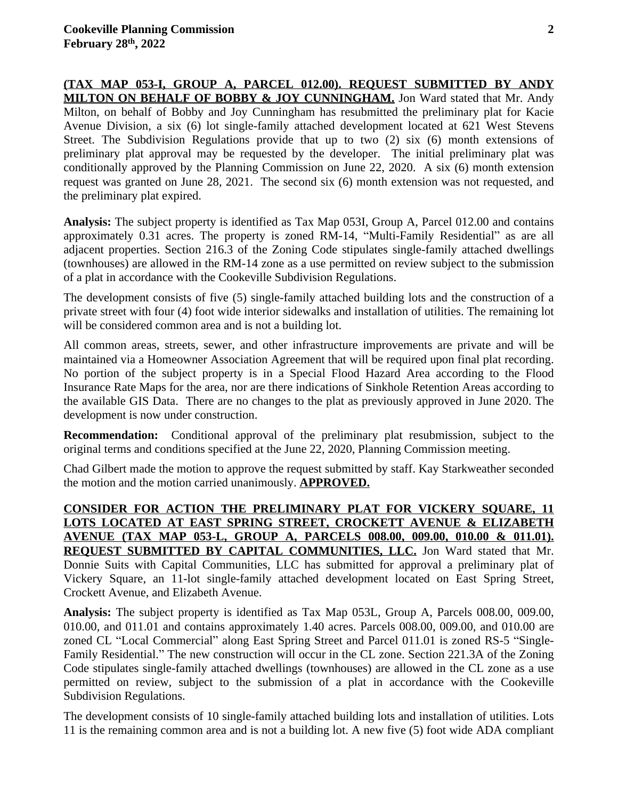**(TAX MAP 053-I, GROUP A, PARCEL 012.00). REQUEST SUBMITTED BY ANDY MILTON ON BEHALF OF BOBBY & JOY CUNNINGHAM.** Jon Ward stated that Mr. Andy Milton, on behalf of Bobby and Joy Cunningham has resubmitted the preliminary plat for Kacie Avenue Division, a six (6) lot single-family attached development located at 621 West Stevens Street. The Subdivision Regulations provide that up to two (2) six (6) month extensions of preliminary plat approval may be requested by the developer. The initial preliminary plat was conditionally approved by the Planning Commission on June 22, 2020. A six (6) month extension request was granted on June 28, 2021. The second six (6) month extension was not requested, and the preliminary plat expired.

**Analysis:** The subject property is identified as Tax Map 053I, Group A, Parcel 012.00 and contains approximately 0.31 acres. The property is zoned RM-14, "Multi-Family Residential" as are all adjacent properties. Section 216.3 of the Zoning Code stipulates single-family attached dwellings (townhouses) are allowed in the RM-14 zone as a use permitted on review subject to the submission of a plat in accordance with the Cookeville Subdivision Regulations.

The development consists of five (5) single-family attached building lots and the construction of a private street with four (4) foot wide interior sidewalks and installation of utilities. The remaining lot will be considered common area and is not a building lot.

All common areas, streets, sewer, and other infrastructure improvements are private and will be maintained via a Homeowner Association Agreement that will be required upon final plat recording. No portion of the subject property is in a Special Flood Hazard Area according to the Flood Insurance Rate Maps for the area, nor are there indications of Sinkhole Retention Areas according to the available GIS Data. There are no changes to the plat as previously approved in June 2020. The development is now under construction.

**Recommendation:** Conditional approval of the preliminary plat resubmission, subject to the original terms and conditions specified at the June 22, 2020, Planning Commission meeting.

Chad Gilbert made the motion to approve the request submitted by staff. Kay Starkweather seconded the motion and the motion carried unanimously. **APPROVED.**

**CONSIDER FOR ACTION THE PRELIMINARY PLAT FOR VICKERY SQUARE, 11 LOTS LOCATED AT EAST SPRING STREET, CROCKETT AVENUE & ELIZABETH AVENUE (TAX MAP 053-L, GROUP A, PARCELS 008.00, 009.00, 010.00 & 011.01). REQUEST SUBMITTED BY CAPITAL COMMUNITIES, LLC.** Jon Ward stated that Mr. Donnie Suits with Capital Communities, LLC has submitted for approval a preliminary plat of Vickery Square, an 11-lot single-family attached development located on East Spring Street, Crockett Avenue, and Elizabeth Avenue.

**Analysis:** The subject property is identified as Tax Map 053L, Group A, Parcels 008.00, 009.00, 010.00, and 011.01 and contains approximately 1.40 acres. Parcels 008.00, 009.00, and 010.00 are zoned CL "Local Commercial" along East Spring Street and Parcel 011.01 is zoned RS-5 "Single-Family Residential." The new construction will occur in the CL zone. Section 221.3A of the Zoning Code stipulates single-family attached dwellings (townhouses) are allowed in the CL zone as a use permitted on review, subject to the submission of a plat in accordance with the Cookeville Subdivision Regulations.

The development consists of 10 single-family attached building lots and installation of utilities. Lots 11 is the remaining common area and is not a building lot. A new five (5) foot wide ADA compliant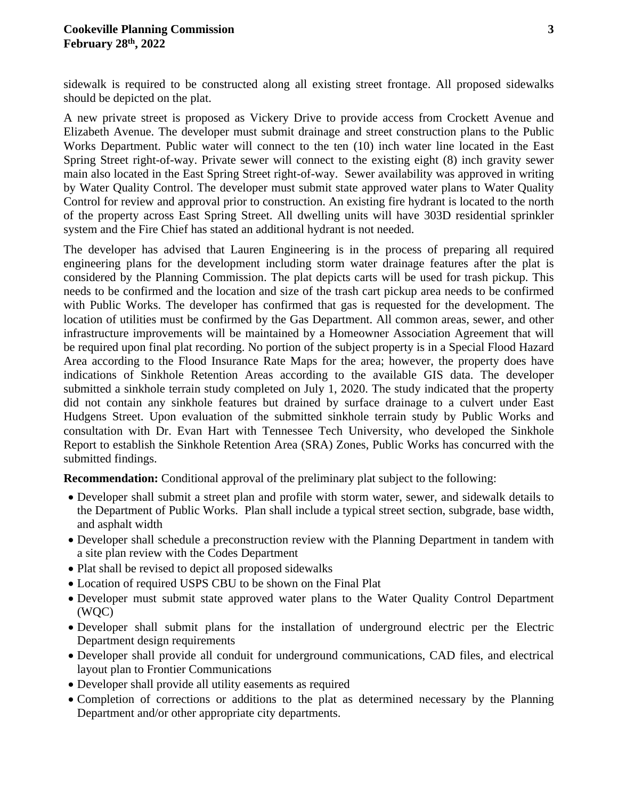sidewalk is required to be constructed along all existing street frontage. All proposed sidewalks should be depicted on the plat.

A new private street is proposed as Vickery Drive to provide access from Crockett Avenue and Elizabeth Avenue. The developer must submit drainage and street construction plans to the Public Works Department. Public water will connect to the ten (10) inch water line located in the East Spring Street right-of-way. Private sewer will connect to the existing eight (8) inch gravity sewer main also located in the East Spring Street right-of-way. Sewer availability was approved in writing by Water Quality Control. The developer must submit state approved water plans to Water Quality Control for review and approval prior to construction. An existing fire hydrant is located to the north of the property across East Spring Street. All dwelling units will have 303D residential sprinkler system and the Fire Chief has stated an additional hydrant is not needed.

The developer has advised that Lauren Engineering is in the process of preparing all required engineering plans for the development including storm water drainage features after the plat is considered by the Planning Commission. The plat depicts carts will be used for trash pickup. This needs to be confirmed and the location and size of the trash cart pickup area needs to be confirmed with Public Works. The developer has confirmed that gas is requested for the development. The location of utilities must be confirmed by the Gas Department. All common areas, sewer, and other infrastructure improvements will be maintained by a Homeowner Association Agreement that will be required upon final plat recording. No portion of the subject property is in a Special Flood Hazard Area according to the Flood Insurance Rate Maps for the area; however, the property does have indications of Sinkhole Retention Areas according to the available GIS data. The developer submitted a sinkhole terrain study completed on July 1, 2020. The study indicated that the property did not contain any sinkhole features but drained by surface drainage to a culvert under East Hudgens Street. Upon evaluation of the submitted sinkhole terrain study by Public Works and consultation with Dr. Evan Hart with Tennessee Tech University, who developed the Sinkhole Report to establish the Sinkhole Retention Area (SRA) Zones, Public Works has concurred with the submitted findings.

**Recommendation:** Conditional approval of the preliminary plat subject to the following:

- Developer shall submit a street plan and profile with storm water, sewer, and sidewalk details to the Department of Public Works. Plan shall include a typical street section, subgrade, base width, and asphalt width
- Developer shall schedule a preconstruction review with the Planning Department in tandem with a site plan review with the Codes Department
- Plat shall be revised to depict all proposed sidewalks
- Location of required USPS CBU to be shown on the Final Plat
- Developer must submit state approved water plans to the Water Quality Control Department (WQC)
- Developer shall submit plans for the installation of underground electric per the Electric Department design requirements
- Developer shall provide all conduit for underground communications, CAD files, and electrical layout plan to Frontier Communications
- Developer shall provide all utility easements as required
- Completion of corrections or additions to the plat as determined necessary by the Planning Department and/or other appropriate city departments.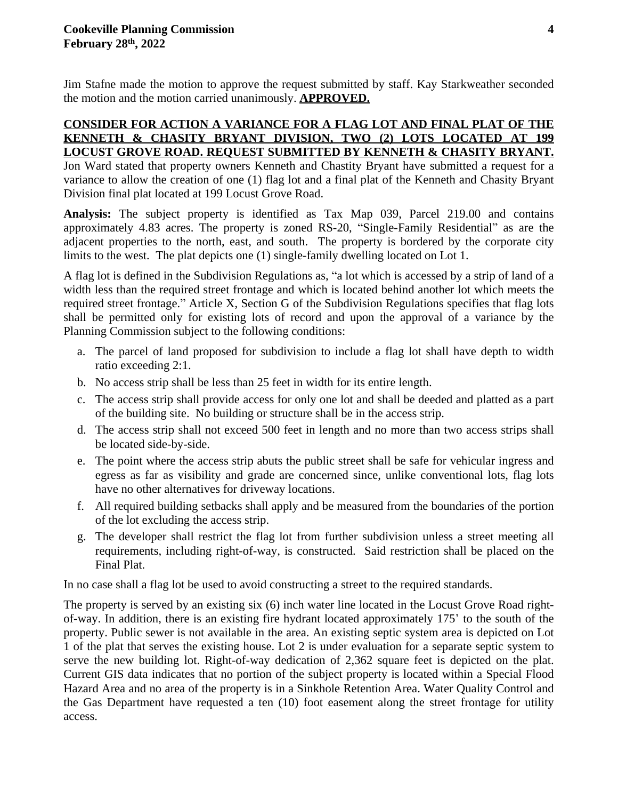Jim Stafne made the motion to approve the request submitted by staff. Kay Starkweather seconded the motion and the motion carried unanimously. **APPROVED.**

## **CONSIDER FOR ACTION A VARIANCE FOR A FLAG LOT AND FINAL PLAT OF THE KENNETH & CHASITY BRYANT DIVISION, TWO (2) LOTS LOCATED AT 199 LOCUST GROVE ROAD. REQUEST SUBMITTED BY KENNETH & CHASITY BRYANT.**

Jon Ward stated that property owners Kenneth and Chastity Bryant have submitted a request for a variance to allow the creation of one (1) flag lot and a final plat of the Kenneth and Chasity Bryant Division final plat located at 199 Locust Grove Road.

**Analysis:** The subject property is identified as Tax Map 039, Parcel 219.00 and contains approximately 4.83 acres. The property is zoned RS-20, "Single-Family Residential" as are the adjacent properties to the north, east, and south. The property is bordered by the corporate city limits to the west. The plat depicts one (1) single-family dwelling located on Lot 1.

A flag lot is defined in the Subdivision Regulations as, "a lot which is accessed by a strip of land of a width less than the required street frontage and which is located behind another lot which meets the required street frontage." Article X, Section G of the Subdivision Regulations specifies that flag lots shall be permitted only for existing lots of record and upon the approval of a variance by the Planning Commission subject to the following conditions:

- a. The parcel of land proposed for subdivision to include a flag lot shall have depth to width ratio exceeding 2:1.
- b. No access strip shall be less than 25 feet in width for its entire length.
- c. The access strip shall provide access for only one lot and shall be deeded and platted as a part of the building site. No building or structure shall be in the access strip.
- d. The access strip shall not exceed 500 feet in length and no more than two access strips shall be located side-by-side.
- e. The point where the access strip abuts the public street shall be safe for vehicular ingress and egress as far as visibility and grade are concerned since, unlike conventional lots, flag lots have no other alternatives for driveway locations.
- f. All required building setbacks shall apply and be measured from the boundaries of the portion of the lot excluding the access strip.
- g. The developer shall restrict the flag lot from further subdivision unless a street meeting all requirements, including right-of-way, is constructed. Said restriction shall be placed on the Final Plat.

In no case shall a flag lot be used to avoid constructing a street to the required standards.

The property is served by an existing six (6) inch water line located in the Locust Grove Road rightof-way. In addition, there is an existing fire hydrant located approximately 175' to the south of the property. Public sewer is not available in the area. An existing septic system area is depicted on Lot 1 of the plat that serves the existing house. Lot 2 is under evaluation for a separate septic system to serve the new building lot. Right-of-way dedication of 2,362 square feet is depicted on the plat. Current GIS data indicates that no portion of the subject property is located within a Special Flood Hazard Area and no area of the property is in a Sinkhole Retention Area. Water Quality Control and the Gas Department have requested a ten (10) foot easement along the street frontage for utility access.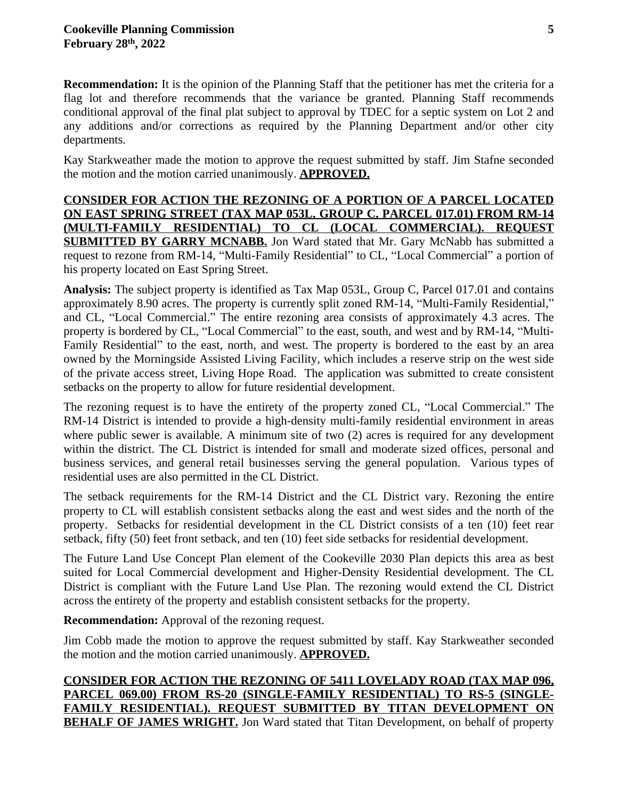**Recommendation:** It is the opinion of the Planning Staff that the petitioner has met the criteria for a flag lot and therefore recommends that the variance be granted. Planning Staff recommends conditional approval of the final plat subject to approval by TDEC for a septic system on Lot 2 and any additions and/or corrections as required by the Planning Department and/or other city departments.

Kay Starkweather made the motion to approve the request submitted by staff. Jim Stafne seconded the motion and the motion carried unanimously. **APPROVED.**

**CONSIDER FOR ACTION THE REZONING OF A PORTION OF A PARCEL LOCATED ON EAST SPRING STREET (TAX MAP 053L, GROUP C, PARCEL 017.01) FROM RM-14 (MULTI-FAMILY RESIDENTIAL) TO CL (LOCAL COMMERCIAL). REQUEST SUBMITTED BY GARRY MCNABB.** Jon Ward stated that Mr. Gary McNabb has submitted a request to rezone from RM-14, "Multi-Family Residential" to CL, "Local Commercial" a portion of his property located on East Spring Street.

**Analysis:** The subject property is identified as Tax Map 053L, Group C, Parcel 017.01 and contains approximately 8.90 acres. The property is currently split zoned RM-14, "Multi-Family Residential," and CL, "Local Commercial." The entire rezoning area consists of approximately 4.3 acres. The property is bordered by CL, "Local Commercial" to the east, south, and west and by RM-14, "Multi-Family Residential" to the east, north, and west. The property is bordered to the east by an area owned by the Morningside Assisted Living Facility, which includes a reserve strip on the west side of the private access street, Living Hope Road. The application was submitted to create consistent setbacks on the property to allow for future residential development.

The rezoning request is to have the entirety of the property zoned CL, "Local Commercial." The RM-14 District is intended to provide a high-density multi-family residential environment in areas where public sewer is available. A minimum site of two (2) acres is required for any development within the district. The CL District is intended for small and moderate sized offices, personal and business services, and general retail businesses serving the general population. Various types of residential uses are also permitted in the CL District.

The setback requirements for the RM-14 District and the CL District vary. Rezoning the entire property to CL will establish consistent setbacks along the east and west sides and the north of the property. Setbacks for residential development in the CL District consists of a ten (10) feet rear setback, fifty (50) feet front setback, and ten (10) feet side setbacks for residential development.

The Future Land Use Concept Plan element of the Cookeville 2030 Plan depicts this area as best suited for Local Commercial development and Higher-Density Residential development. The CL District is compliant with the Future Land Use Plan. The rezoning would extend the CL District across the entirety of the property and establish consistent setbacks for the property.

**Recommendation:** Approval of the rezoning request.

Jim Cobb made the motion to approve the request submitted by staff. Kay Starkweather seconded the motion and the motion carried unanimously. **APPROVED.**

**CONSIDER FOR ACTION THE REZONING OF 5411 LOVELADY ROAD (TAX MAP 096, PARCEL 069.00) FROM RS-20 (SINGLE-FAMILY RESIDENTIAL) TO RS-5 (SINGLE-FAMILY RESIDENTIAL). REQUEST SUBMITTED BY TITAN DEVELOPMENT ON BEHALF OF JAMES WRIGHT.** Jon Ward stated that Titan Development, on behalf of property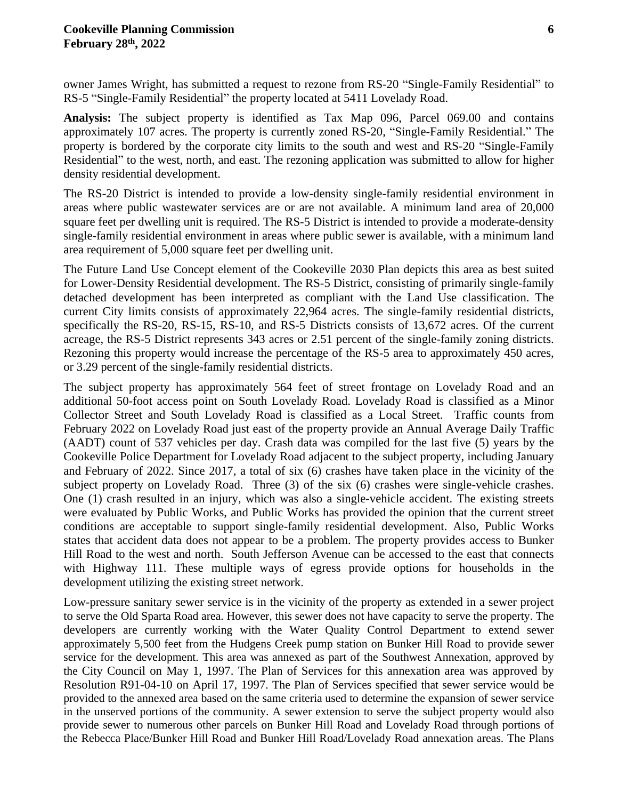owner James Wright, has submitted a request to rezone from RS-20 "Single-Family Residential" to RS-5 "Single-Family Residential" the property located at 5411 Lovelady Road.

**Analysis:** The subject property is identified as Tax Map 096, Parcel 069.00 and contains approximately 107 acres. The property is currently zoned RS-20, "Single-Family Residential." The property is bordered by the corporate city limits to the south and west and RS-20 "Single-Family Residential" to the west, north, and east. The rezoning application was submitted to allow for higher density residential development.

The RS-20 District is intended to provide a low-density single-family residential environment in areas where public wastewater services are or are not available. A minimum land area of 20,000 square feet per dwelling unit is required. The RS-5 District is intended to provide a moderate-density single-family residential environment in areas where public sewer is available, with a minimum land area requirement of 5,000 square feet per dwelling unit.

The Future Land Use Concept element of the Cookeville 2030 Plan depicts this area as best suited for Lower-Density Residential development. The RS-5 District, consisting of primarily single-family detached development has been interpreted as compliant with the Land Use classification. The current City limits consists of approximately 22,964 acres. The single-family residential districts, specifically the RS-20, RS-15, RS-10, and RS-5 Districts consists of 13,672 acres. Of the current acreage, the RS-5 District represents 343 acres or 2.51 percent of the single-family zoning districts. Rezoning this property would increase the percentage of the RS-5 area to approximately 450 acres, or 3.29 percent of the single-family residential districts.

The subject property has approximately 564 feet of street frontage on Lovelady Road and an additional 50-foot access point on South Lovelady Road. Lovelady Road is classified as a Minor Collector Street and South Lovelady Road is classified as a Local Street. Traffic counts from February 2022 on Lovelady Road just east of the property provide an Annual Average Daily Traffic (AADT) count of 537 vehicles per day. Crash data was compiled for the last five (5) years by the Cookeville Police Department for Lovelady Road adjacent to the subject property, including January and February of 2022. Since 2017, a total of six (6) crashes have taken place in the vicinity of the subject property on Lovelady Road. Three (3) of the six (6) crashes were single-vehicle crashes. One (1) crash resulted in an injury, which was also a single-vehicle accident. The existing streets were evaluated by Public Works, and Public Works has provided the opinion that the current street conditions are acceptable to support single-family residential development. Also, Public Works states that accident data does not appear to be a problem. The property provides access to Bunker Hill Road to the west and north. South Jefferson Avenue can be accessed to the east that connects with Highway 111. These multiple ways of egress provide options for households in the development utilizing the existing street network.

Low-pressure sanitary sewer service is in the vicinity of the property as extended in a sewer project to serve the Old Sparta Road area. However, this sewer does not have capacity to serve the property. The developers are currently working with the Water Quality Control Department to extend sewer approximately 5,500 feet from the Hudgens Creek pump station on Bunker Hill Road to provide sewer service for the development. This area was annexed as part of the Southwest Annexation, approved by the City Council on May 1, 1997. The Plan of Services for this annexation area was approved by Resolution R91-04-10 on April 17, 1997. The Plan of Services specified that sewer service would be provided to the annexed area based on the same criteria used to determine the expansion of sewer service in the unserved portions of the community. A sewer extension to serve the subject property would also provide sewer to numerous other parcels on Bunker Hill Road and Lovelady Road through portions of the Rebecca Place/Bunker Hill Road and Bunker Hill Road/Lovelady Road annexation areas. The Plans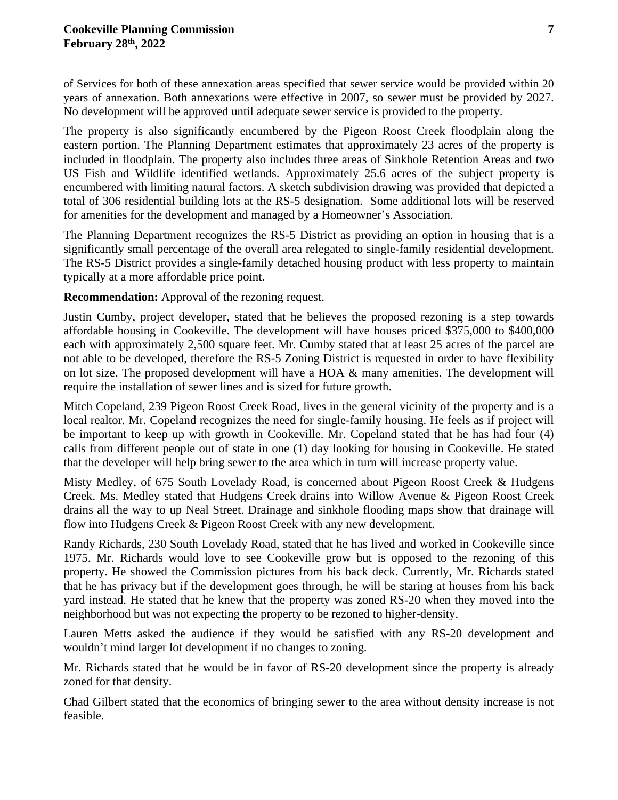of Services for both of these annexation areas specified that sewer service would be provided within 20 years of annexation. Both annexations were effective in 2007, so sewer must be provided by 2027. No development will be approved until adequate sewer service is provided to the property.

The property is also significantly encumbered by the Pigeon Roost Creek floodplain along the eastern portion. The Planning Department estimates that approximately 23 acres of the property is included in floodplain. The property also includes three areas of Sinkhole Retention Areas and two US Fish and Wildlife identified wetlands. Approximately 25.6 acres of the subject property is encumbered with limiting natural factors. A sketch subdivision drawing was provided that depicted a total of 306 residential building lots at the RS-5 designation. Some additional lots will be reserved for amenities for the development and managed by a Homeowner's Association.

The Planning Department recognizes the RS-5 District as providing an option in housing that is a significantly small percentage of the overall area relegated to single-family residential development. The RS-5 District provides a single-family detached housing product with less property to maintain typically at a more affordable price point.

**Recommendation:** Approval of the rezoning request.

Justin Cumby, project developer, stated that he believes the proposed rezoning is a step towards affordable housing in Cookeville. The development will have houses priced \$375,000 to \$400,000 each with approximately 2,500 square feet. Mr. Cumby stated that at least 25 acres of the parcel are not able to be developed, therefore the RS-5 Zoning District is requested in order to have flexibility on lot size. The proposed development will have a HOA & many amenities. The development will require the installation of sewer lines and is sized for future growth.

Mitch Copeland, 239 Pigeon Roost Creek Road, lives in the general vicinity of the property and is a local realtor. Mr. Copeland recognizes the need for single-family housing. He feels as if project will be important to keep up with growth in Cookeville. Mr. Copeland stated that he has had four (4) calls from different people out of state in one (1) day looking for housing in Cookeville. He stated that the developer will help bring sewer to the area which in turn will increase property value.

Misty Medley, of 675 South Lovelady Road, is concerned about Pigeon Roost Creek & Hudgens Creek. Ms. Medley stated that Hudgens Creek drains into Willow Avenue & Pigeon Roost Creek drains all the way to up Neal Street. Drainage and sinkhole flooding maps show that drainage will flow into Hudgens Creek & Pigeon Roost Creek with any new development.

Randy Richards, 230 South Lovelady Road, stated that he has lived and worked in Cookeville since 1975. Mr. Richards would love to see Cookeville grow but is opposed to the rezoning of this property. He showed the Commission pictures from his back deck. Currently, Mr. Richards stated that he has privacy but if the development goes through, he will be staring at houses from his back yard instead. He stated that he knew that the property was zoned RS-20 when they moved into the neighborhood but was not expecting the property to be rezoned to higher-density.

Lauren Metts asked the audience if they would be satisfied with any RS-20 development and wouldn't mind larger lot development if no changes to zoning.

Mr. Richards stated that he would be in favor of RS-20 development since the property is already zoned for that density.

Chad Gilbert stated that the economics of bringing sewer to the area without density increase is not feasible.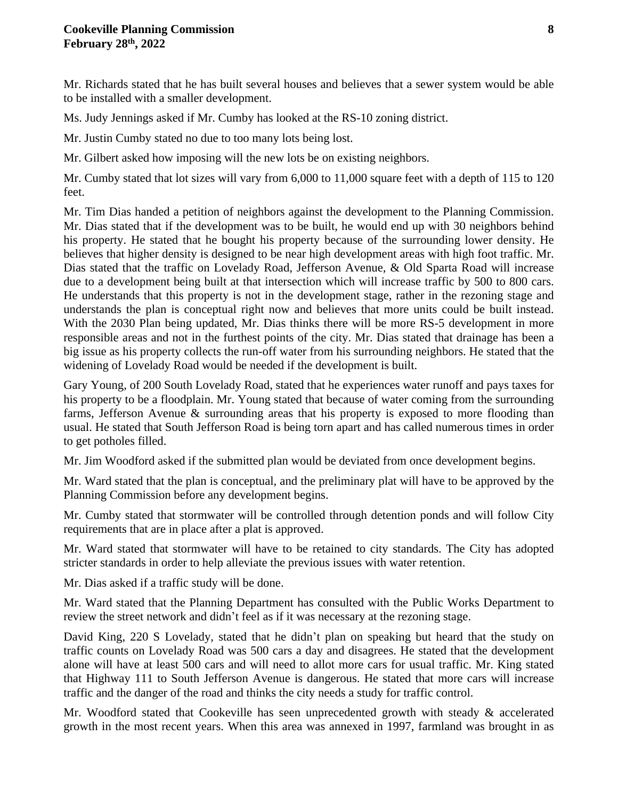#### **Cookeville Planning Commission 8 February 28th , 2022**

Mr. Richards stated that he has built several houses and believes that a sewer system would be able to be installed with a smaller development.

Ms. Judy Jennings asked if Mr. Cumby has looked at the RS-10 zoning district.

Mr. Justin Cumby stated no due to too many lots being lost.

Mr. Gilbert asked how imposing will the new lots be on existing neighbors.

Mr. Cumby stated that lot sizes will vary from 6,000 to 11,000 square feet with a depth of 115 to 120 feet.

Mr. Tim Dias handed a petition of neighbors against the development to the Planning Commission. Mr. Dias stated that if the development was to be built, he would end up with 30 neighbors behind his property. He stated that he bought his property because of the surrounding lower density. He believes that higher density is designed to be near high development areas with high foot traffic. Mr. Dias stated that the traffic on Lovelady Road, Jefferson Avenue, & Old Sparta Road will increase due to a development being built at that intersection which will increase traffic by 500 to 800 cars. He understands that this property is not in the development stage, rather in the rezoning stage and understands the plan is conceptual right now and believes that more units could be built instead. With the 2030 Plan being updated, Mr. Dias thinks there will be more RS-5 development in more responsible areas and not in the furthest points of the city. Mr. Dias stated that drainage has been a big issue as his property collects the run-off water from his surrounding neighbors. He stated that the widening of Lovelady Road would be needed if the development is built.

Gary Young, of 200 South Lovelady Road, stated that he experiences water runoff and pays taxes for his property to be a floodplain. Mr. Young stated that because of water coming from the surrounding farms, Jefferson Avenue & surrounding areas that his property is exposed to more flooding than usual. He stated that South Jefferson Road is being torn apart and has called numerous times in order to get potholes filled.

Mr. Jim Woodford asked if the submitted plan would be deviated from once development begins.

Mr. Ward stated that the plan is conceptual, and the preliminary plat will have to be approved by the Planning Commission before any development begins.

Mr. Cumby stated that stormwater will be controlled through detention ponds and will follow City requirements that are in place after a plat is approved.

Mr. Ward stated that stormwater will have to be retained to city standards. The City has adopted stricter standards in order to help alleviate the previous issues with water retention.

Mr. Dias asked if a traffic study will be done.

Mr. Ward stated that the Planning Department has consulted with the Public Works Department to review the street network and didn't feel as if it was necessary at the rezoning stage.

David King, 220 S Lovelady, stated that he didn't plan on speaking but heard that the study on traffic counts on Lovelady Road was 500 cars a day and disagrees. He stated that the development alone will have at least 500 cars and will need to allot more cars for usual traffic. Mr. King stated that Highway 111 to South Jefferson Avenue is dangerous. He stated that more cars will increase traffic and the danger of the road and thinks the city needs a study for traffic control.

Mr. Woodford stated that Cookeville has seen unprecedented growth with steady & accelerated growth in the most recent years. When this area was annexed in 1997, farmland was brought in as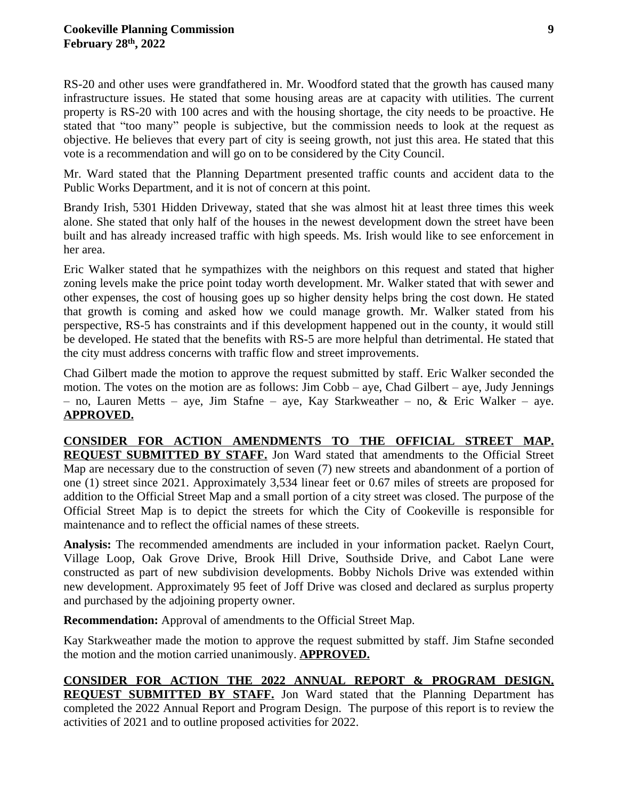RS-20 and other uses were grandfathered in. Mr. Woodford stated that the growth has caused many infrastructure issues. He stated that some housing areas are at capacity with utilities. The current property is RS-20 with 100 acres and with the housing shortage, the city needs to be proactive. He stated that "too many" people is subjective, but the commission needs to look at the request as objective. He believes that every part of city is seeing growth, not just this area. He stated that this vote is a recommendation and will go on to be considered by the City Council.

Mr. Ward stated that the Planning Department presented traffic counts and accident data to the Public Works Department, and it is not of concern at this point.

Brandy Irish, 5301 Hidden Driveway, stated that she was almost hit at least three times this week alone. She stated that only half of the houses in the newest development down the street have been built and has already increased traffic with high speeds. Ms. Irish would like to see enforcement in her area.

Eric Walker stated that he sympathizes with the neighbors on this request and stated that higher zoning levels make the price point today worth development. Mr. Walker stated that with sewer and other expenses, the cost of housing goes up so higher density helps bring the cost down. He stated that growth is coming and asked how we could manage growth. Mr. Walker stated from his perspective, RS-5 has constraints and if this development happened out in the county, it would still be developed. He stated that the benefits with RS-5 are more helpful than detrimental. He stated that the city must address concerns with traffic flow and street improvements.

Chad Gilbert made the motion to approve the request submitted by staff. Eric Walker seconded the motion. The votes on the motion are as follows: Jim Cobb – aye, Chad Gilbert – aye, Judy Jennings – no, Lauren Metts – aye, Jim Stafne – aye, Kay Starkweather – no, & Eric Walker – aye. **APPROVED.**

**CONSIDER FOR ACTION AMENDMENTS TO THE OFFICIAL STREET MAP. REQUEST SUBMITTED BY STAFF.** Jon Ward stated that amendments to the Official Street Map are necessary due to the construction of seven (7) new streets and abandonment of a portion of one (1) street since 2021. Approximately 3,534 linear feet or 0.67 miles of streets are proposed for addition to the Official Street Map and a small portion of a city street was closed. The purpose of the Official Street Map is to depict the streets for which the City of Cookeville is responsible for maintenance and to reflect the official names of these streets.

**Analysis:** The recommended amendments are included in your information packet. Raelyn Court, Village Loop, Oak Grove Drive, Brook Hill Drive, Southside Drive, and Cabot Lane were constructed as part of new subdivision developments. Bobby Nichols Drive was extended within new development. Approximately 95 feet of Joff Drive was closed and declared as surplus property and purchased by the adjoining property owner.

**Recommendation:** Approval of amendments to the Official Street Map.

Kay Starkweather made the motion to approve the request submitted by staff. Jim Stafne seconded the motion and the motion carried unanimously. **APPROVED.**

**CONSIDER FOR ACTION THE 2022 ANNUAL REPORT & PROGRAM DESIGN. REQUEST SUBMITTED BY STAFF.** Jon Ward stated that the Planning Department has completed the 2022 Annual Report and Program Design. The purpose of this report is to review the activities of 2021 and to outline proposed activities for 2022.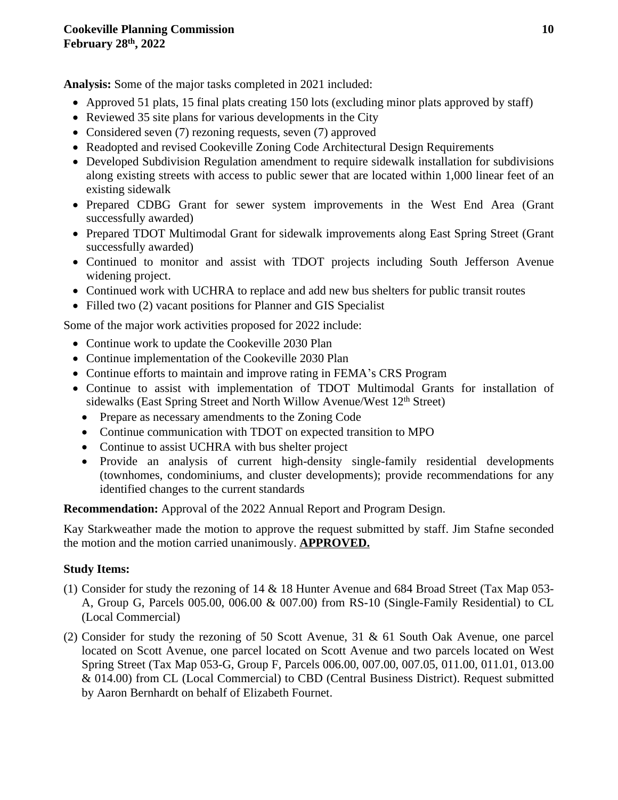**Analysis:** Some of the major tasks completed in 2021 included:

- Approved 51 plats, 15 final plats creating 150 lots (excluding minor plats approved by staff)
- Reviewed 35 site plans for various developments in the City
- Considered seven (7) rezoning requests, seven (7) approved
- Readopted and revised Cookeville Zoning Code Architectural Design Requirements
- Developed Subdivision Regulation amendment to require sidewalk installation for subdivisions along existing streets with access to public sewer that are located within 1,000 linear feet of an existing sidewalk
- Prepared CDBG Grant for sewer system improvements in the West End Area (Grant successfully awarded)
- Prepared TDOT Multimodal Grant for sidewalk improvements along East Spring Street (Grant successfully awarded)
- Continued to monitor and assist with TDOT projects including South Jefferson Avenue widening project.
- Continued work with UCHRA to replace and add new bus shelters for public transit routes
- Filled two (2) vacant positions for Planner and GIS Specialist

Some of the major work activities proposed for 2022 include:

- Continue work to update the Cookeville 2030 Plan
- Continue implementation of the Cookeville 2030 Plan
- Continue efforts to maintain and improve rating in FEMA's CRS Program
- Continue to assist with implementation of TDOT Multimodal Grants for installation of sidewalks (East Spring Street and North Willow Avenue/West 12<sup>th</sup> Street)
	- Prepare as necessary amendments to the Zoning Code
	- Continue communication with TDOT on expected transition to MPO
	- Continue to assist UCHRA with bus shelter project
	- Provide an analysis of current high-density single-family residential developments (townhomes, condominiums, and cluster developments); provide recommendations for any identified changes to the current standards

**Recommendation:** Approval of the 2022 Annual Report and Program Design.

Kay Starkweather made the motion to approve the request submitted by staff. Jim Stafne seconded the motion and the motion carried unanimously. **APPROVED.**

# **Study Items:**

- (1) Consider for study the rezoning of 14 & 18 Hunter Avenue and 684 Broad Street (Tax Map 053- A, Group G, Parcels 005.00, 006.00 & 007.00) from RS-10 (Single-Family Residential) to CL (Local Commercial)
- (2) Consider for study the rezoning of 50 Scott Avenue, 31 & 61 South Oak Avenue, one parcel located on Scott Avenue, one parcel located on Scott Avenue and two parcels located on West Spring Street (Tax Map 053-G, Group F, Parcels 006.00, 007.00, 007.05, 011.00, 011.01, 013.00 & 014.00) from CL (Local Commercial) to CBD (Central Business District). Request submitted by Aaron Bernhardt on behalf of Elizabeth Fournet.